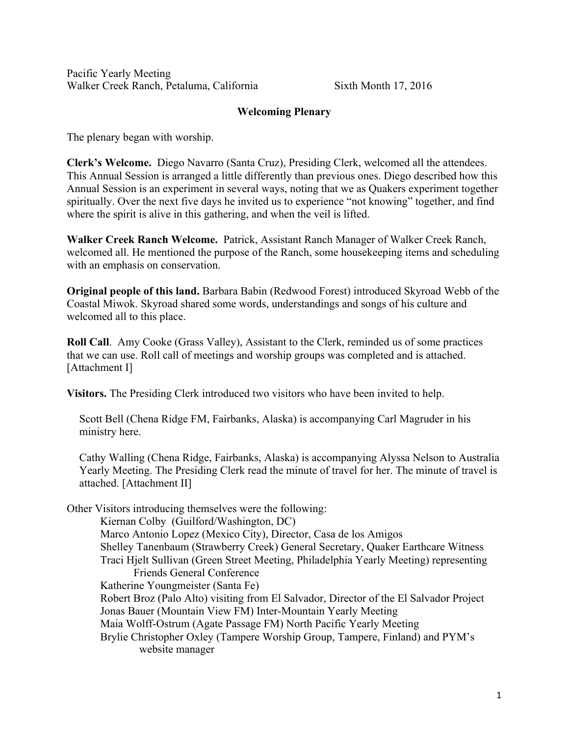Pacific Yearly Meeting Walker Creek Ranch, Petaluma, California Sixth Month 17, 2016

## Welcoming Plenary

The plenary began with worship.

Clerk's Welcome. Diego Navarro (Santa Cruz), Presiding Clerk, welcomed all the attendees. This Annual Session is arranged a little differently than previous ones. Diego described how this Annual Session is an experiment in several ways, noting that we as Quakers experiment together spiritually. Over the next five days he invited us to experience "not knowing" together, and find where the spirit is alive in this gathering, and when the veil is lifted.

Walker Creek Ranch Welcome. Patrick, Assistant Ranch Manager of Walker Creek Ranch, welcomed all. He mentioned the purpose of the Ranch, some housekeeping items and scheduling with an emphasis on conservation.

Original people of this land. Barbara Babin (Redwood Forest) introduced Skyroad Webb of the Coastal Miwok. Skyroad shared some words, understandings and songs of his culture and welcomed all to this place.

Roll Call. Amy Cooke (Grass Valley), Assistant to the Clerk, reminded us of some practices that we can use. Roll call of meetings and worship groups was completed and is attached. [Attachment I]

Visitors. The Presiding Clerk introduced two visitors who have been invited to help.

Scott Bell (Chena Ridge FM, Fairbanks, Alaska) is accompanying Carl Magruder in his ministry here.

Cathy Walling (Chena Ridge, Fairbanks, Alaska) is accompanying Alyssa Nelson to Australia Yearly Meeting. The Presiding Clerk read the minute of travel for her. The minute of travel is attached. [Attachment II]

Other Visitors introducing themselves were the following:

Kiernan Colby (Guilford/Washington, DC) Marco Antonio Lopez (Mexico City), Director, Casa de los Amigos Shelley Tanenbaum (Strawberry Creek) General Secretary, Quaker Earthcare Witness Traci Hjelt Sullivan (Green Street Meeting, Philadelphia Yearly Meeting) representing Friends General Conference Katherine Youngmeister (Santa Fe) Robert Broz (Palo Alto) visiting from El Salvador, Director of the El Salvador Project Jonas Bauer (Mountain View FM) Inter-Mountain Yearly Meeting Maia Wolff-Ostrum (Agate Passage FM) North Pacific Yearly Meeting Brylie Christopher Oxley (Tampere Worship Group, Tampere, Finland) and PYM's website manager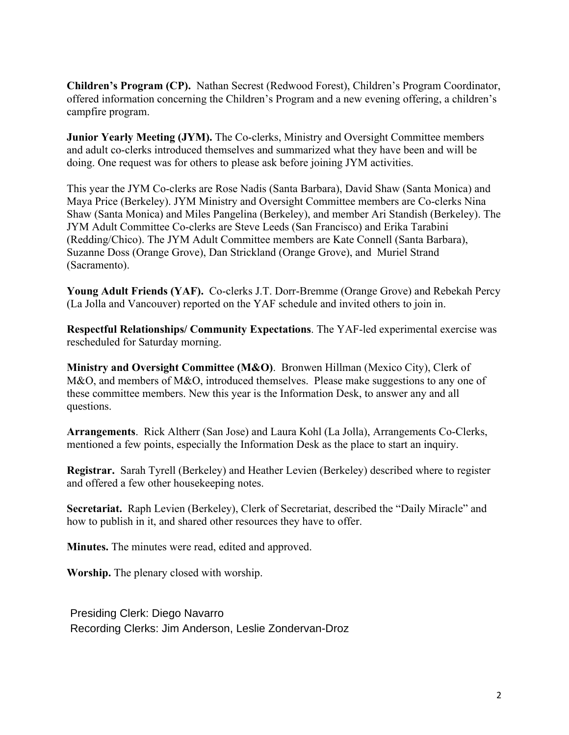Children's Program (CP). Nathan Secrest (Redwood Forest), Children's Program Coordinator, offered information concerning the Children's Program and a new evening offering, a children's campfire program.

Junior Yearly Meeting (JYM). The Co-clerks, Ministry and Oversight Committee members and adult co-clerks introduced themselves and summarized what they have been and will be doing. One request was for others to please ask before joining JYM activities.

This year the JYM Co-clerks are Rose Nadis (Santa Barbara), David Shaw (Santa Monica) and Maya Price (Berkeley). JYM Ministry and Oversight Committee members are Co-clerks Nina Shaw (Santa Monica) and Miles Pangelina (Berkeley), and member Ari Standish (Berkeley). The JYM Adult Committee Co-clerks are Steve Leeds (San Francisco) and Erika Tarabini (Redding/Chico). The JYM Adult Committee members are Kate Connell (Santa Barbara), Suzanne Doss (Orange Grove), Dan Strickland (Orange Grove), and Muriel Strand (Sacramento).

Young Adult Friends (YAF). Co-clerks J.T. Dorr-Bremme (Orange Grove) and Rebekah Percy (La Jolla and Vancouver) reported on the YAF schedule and invited others to join in.

Respectful Relationships/ Community Expectations. The YAF-led experimental exercise was rescheduled for Saturday morning.

Ministry and Oversight Committee (M&O). Bronwen Hillman (Mexico City), Clerk of M&O, and members of M&O, introduced themselves. Please make suggestions to any one of these committee members. New this year is the Information Desk, to answer any and all questions.

Arrangements. Rick Altherr (San Jose) and Laura Kohl (La Jolla), Arrangements Co-Clerks, mentioned a few points, especially the Information Desk as the place to start an inquiry.

Registrar. Sarah Tyrell (Berkeley) and Heather Levien (Berkeley) described where to register and offered a few other housekeeping notes.

Secretariat. Raph Levien (Berkeley), Clerk of Secretariat, described the "Daily Miracle" and how to publish in it, and shared other resources they have to offer.

Minutes. The minutes were read, edited and approved.

Worship. The plenary closed with worship.

Presiding Clerk: Diego Navarro Recording Clerks: Jim Anderson, Leslie Zondervan-Droz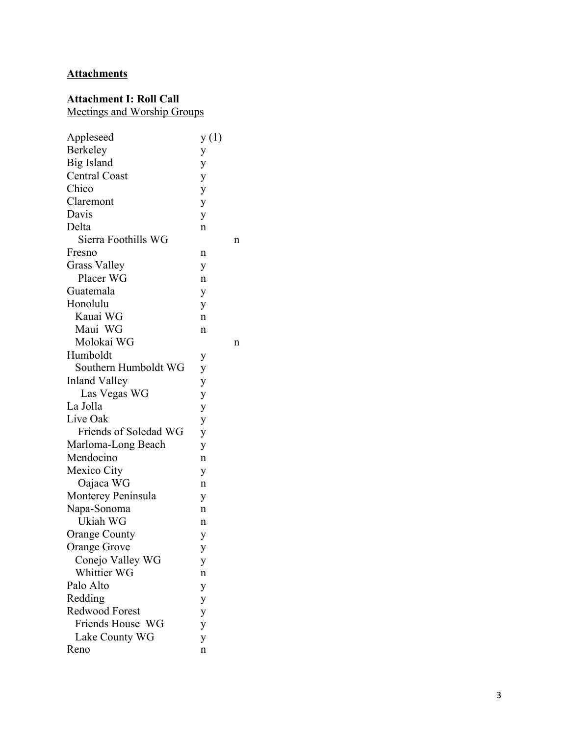# **Attachments**

## Attachment I: Roll Call

Meetings and Worship Groups

| Appleseed             | y(1) |   |
|-----------------------|------|---|
| <b>Berkeley</b>       | y    |   |
| Big Island            | y    |   |
| <b>Central Coast</b>  | y    |   |
| Chico                 | y    |   |
| Claremont             | y    |   |
| Davis                 | y    |   |
| Delta                 | n    |   |
| Sierra Foothills WG   |      | n |
| Fresno                | n    |   |
| <b>Grass Valley</b>   | y    |   |
| Placer WG             | n    |   |
| Guatemala             | y    |   |
| Honolulu              | y    |   |
| Kauai WG              | n    |   |
| Maui WG               | n    |   |
| Molokai WG            |      | n |
| Humboldt              | у    |   |
| Southern Humboldt WG  | y    |   |
| <b>Inland Valley</b>  | y    |   |
| Las Vegas WG          | y    |   |
| La Jolla              | y    |   |
| Live Oak              | y    |   |
| Friends of Soledad WG | y    |   |
| Marloma-Long Beach    | y    |   |
| Mendocino             | n    |   |
| Mexico City           | y    |   |
| Oajaca WG             | n    |   |
| Monterey Peninsula    | y    |   |
| Napa-Sonoma           | n    |   |
| Ukiah WG              | n    |   |
| <b>Orange County</b>  | y    |   |
| Orange Grove          | y    |   |
| Conejo Valley WG      | у    |   |
| Whittier WG           | n    |   |
| Palo Alto             | y    |   |
| Redding               | y    |   |
| <b>Redwood Forest</b> | y    |   |
| Friends House WG      | y    |   |
| Lake County WG        | y    |   |
| Reno                  | n    |   |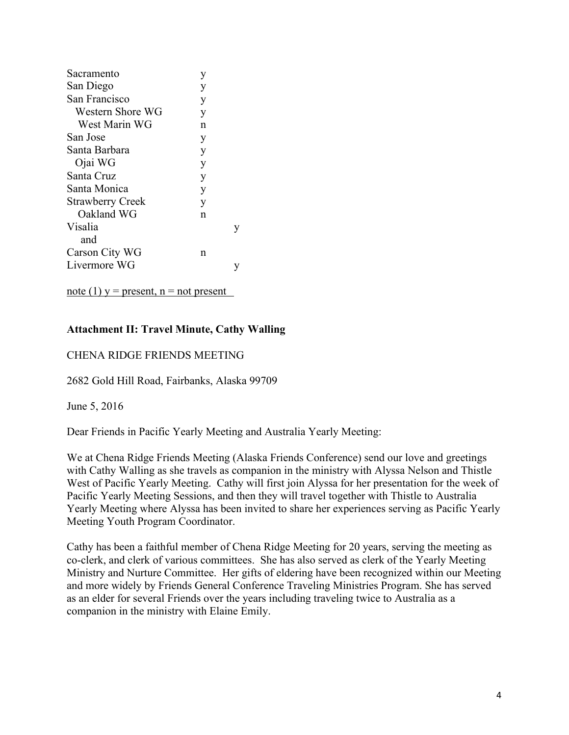| Sacramento              | y |  |
|-------------------------|---|--|
| San Diego               | y |  |
| San Francisco           | y |  |
| Western Shore WG        | y |  |
| West Marin WG           | n |  |
| San Jose                | у |  |
| Santa Barbara           | y |  |
| Ojai WG                 | y |  |
| Santa Cruz              | y |  |
| Santa Monica            | y |  |
| <b>Strawberry Creek</b> | V |  |
| Oakland WG              | n |  |
| Visalia                 |   |  |
| and                     |   |  |
| Carson City WG          | n |  |
| Livermore WG            |   |  |
|                         |   |  |

note (1)  $y =$  present,  $n =$  not present

## Attachment II: Travel Minute, Cathy Walling

## CHENA RIDGE FRIENDS MEETING

2682 Gold Hill Road, Fairbanks, Alaska 99709

June 5, 2016

Dear Friends in Pacific Yearly Meeting and Australia Yearly Meeting:

We at Chena Ridge Friends Meeting (Alaska Friends Conference) send our love and greetings with Cathy Walling as she travels as companion in the ministry with Alyssa Nelson and Thistle West of Pacific Yearly Meeting. Cathy will first join Alyssa for her presentation for the week of Pacific Yearly Meeting Sessions, and then they will travel together with Thistle to Australia Yearly Meeting where Alyssa has been invited to share her experiences serving as Pacific Yearly Meeting Youth Program Coordinator.

Cathy has been a faithful member of Chena Ridge Meeting for 20 years, serving the meeting as co-clerk, and clerk of various committees. She has also served as clerk of the Yearly Meeting Ministry and Nurture Committee. Her gifts of eldering have been recognized within our Meeting and more widely by Friends General Conference Traveling Ministries Program. She has served as an elder for several Friends over the years including traveling twice to Australia as a companion in the ministry with Elaine Emily.